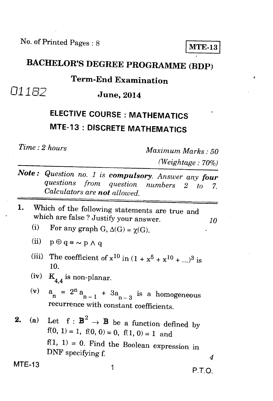No. of Printed Pages : 8 **I MTE-13** 

**BACHELOR'S DEGREE PROGRAMME (BDP)** 

#### **Term-End Examination**

*<u>D1182* **June, 2014**</u>

# **ELECTIVE COURSE : MATHEMATICS MTE-13 : DISCRETE MATHEMATICS**

*Time : 2 hours Maximum Marks : 50* 

*(Weightage : 70%)* 

- *Note:* Question no. 1 is *compulsory. Answer any four* questions from question numbers 2 to 7. *questions from question numbers 2 to 7. Calculators are not allowed.*
- 1. Which of the following statements are true and which are false ? Justify your answer. *10*<br>(i) For any graph  $G_1 \wedge (G) = \gamma(G)$ 
	- For any graph G,  $\Delta(G) = \chi(G)$ .
	- (ii)  $p \oplus q \equiv \sim p \wedge q$
	- (iii) The coefficient of  $x^{10}$  in  $(1 + x^5 + x^{10} + ...)$ <sup>3</sup> is 10.
	- $(iv)$  $K_{44}$  is non-planar.
	- $(v)$  $n = 2^n a_{n-1} + 3a_{n-3}$  is a homogeneous recurrence with constant coefficients.
- **2.** (a) Let  $f : \mathbf{B}^2 \to \mathbf{B}$  be a function defined by  $f(0, 1) = 1, f(0, 0) = 0, f(1, 0) = 1$  and  $f(1, 1) = 0$ . Find the Boolean expression in DNF specifying f. *4*

 $MTE-13$  1 P.T.O.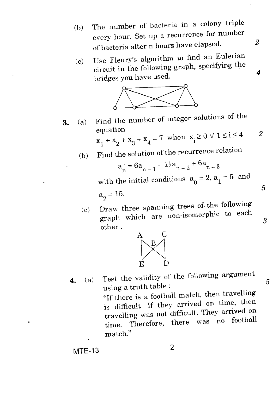- (b) The number of bacteria in a colony triple every hour. Set up a recurrence for number of bacteria after n hours have elapsed.
- $(c)$  Use Fleury's algorithm to find an Eulerian circuit in the following graph, specifying the bridges you have used.



3. (a) Find the number of integer solutions of the equation

equation  

$$
x_1 + x_2 + x_3 + x_4 = 7
$$
 when  $x_i \ge 0 \forall 1 \le i \le 4$  2

 $(b)$  Find the solution of the recurrence relation

$$
a_n = 6a_{n-1} - 11a_{n-2} + 6a_{n-3}
$$

with the initial conditions  $a_0 = 2$ ,  $a_1 = 5$  and

 $a_{0} = 15.$ 2

 $\text{(c)}$  Draw three spanning trees of the following graph which are non-isomorphic to each other :



4. (a) Test the validity of the following argument using a truth table : "If there is a football match, then travelling is difficult. If they arrived on time, then travelling was not difficult. They arrived on time. Therefore, there was no football match."

5

3

*2* 

*4* 

5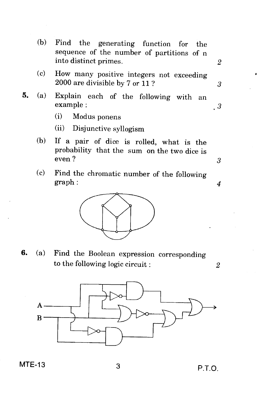(b) Find the generating function for the sequence of the number of partitions of n into distinct primes.

- (c) How many positive integers not exceeding 2000 are divisible by 7 or 11 ?
- 5. (a) Explain each of the following with an example :
	- (i) Modus ponens
	- (ii) Disjunctive syllogism
	- (b) If a pair of dice is rolled, what is the probability that the sum on the two dice is even ?  $3<sup>3</sup>$
	- (c) Find the chromatic number of the following graph : *4*



**6.** (a) Find the Boolean expression corresponding to the following logic circuit : *2* 



### $MTE-13$  3 P.T.O.

 $\mathbf{2}$ 

3

 $\cdot$  3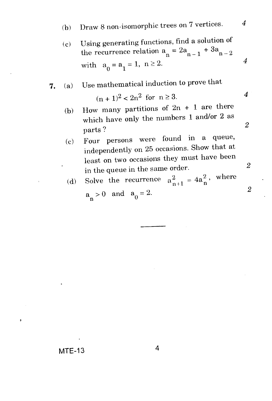(c) Using generating functions, find a solution of the recurrence relation  $a_n = 2a_{n-1} + 3a_{n-2}$ with  $a_0 = a_1 = 1, n \ge 2.$  *4* 

## *7.* (a) Use mathematical induction to prove that

$$
(n+1)^2 < 2n^2 \text{ for } n \ge 3.
$$
 4

- (b) How many partitions of  $2n + 1$  are there which have only the numbers 1 and/or 2 as  $p$ arts ?  $2$
- (c) Four persons were found in a queue, independently on 25 occasions. Show that at least on two occasions they must have been in the queue in the same order. <sup>2</sup>

(d) Solve the recurrence 
$$
a_{n+1}^2 = 4a_n^2
$$
, where  
a > 0 and  $a_0 = 2$ .

$$
a_n > 0 \quad \text{and} \quad a_0 = 2.
$$

 $MTE-13$  4

ó

 $\overline{2}$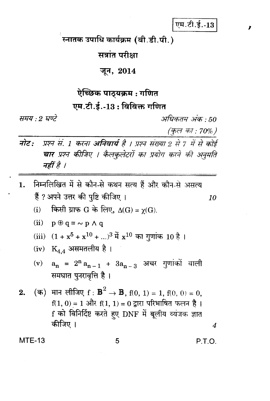एम.टी.ई.-13

स्नातक उपाधि कार्यक्रम (बी.डी.पी.)

सत्रांत परीक्षा

#### जून, 2014

## ऐच्छिक पाठयक्रम : गणित एम.टी.ई.-13 : विविक्त गणित

समय : २ घण्टे

अधिकतम् अंक • 50

(कुल का : 70%)

- नोट: प्रश्न सं. 1 करना अनिवार्य है । प्रश्न संख्या 2 से 7 में से कोई चार प्रश्न कीजिए । कैलकुलेटरों का प्रयोग करने की अनुमति नहीं है ।
- ्निम्नलिखित में से कौन-से कथन सत्य हैं और कौन-से असत्य  $1.$ हैं ? अपने उत्तर की पुष्टि कीजिए । 10
	- (i) किसी ग्राफ G के लिए,  $\Delta(G) = \chi(G)$ .

(ii) 
$$
p \oplus q \equiv \sim p \land q
$$

(iii) 
$$
(1 + x^5 + x^{10} + ...)^3
$$
  $\ddot{4}x^{10}$   $\ddot{5}xy$   $\ddot{1}$   $10\dot{5}$ 

(iv) 
$$
K_{4,4}
$$
 असमतलीय है ।

(v)  $a_n = 2^n a_{n-1} + 3a_{n-3}$  अचर गुणांकों वाली समघात पुनरावृत्ति है।

**MTE-13** 

P.T.O.

 $\overline{4}$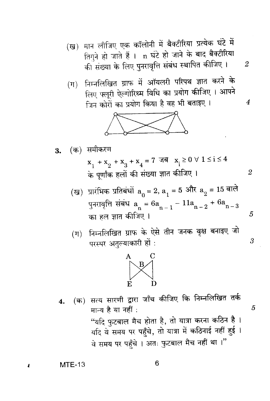- मान लीजिए एक कॉलोनी में बैक्टीरिया प्रत्येक घंटे में (ख) तिगुने हो जाते हैं । n घंटे हो जाने के बाद बैक्टीरिया की संख्या के लिए पुनरावृत्ति संबंध स्थापित कीजिए ।
- निम्नलिखित ग्राफ में ऑयलरी परिपथ ज्ञात करने के  $(\Pi)$ लिए फ्लूरी ऐल्गोरिथ्म विधि का प्रयोग कीजिए । आपने जिन कोरों का प्रयोग किया है वह भी बताइए।



(क) समीकरण 3.

 $x_1 + x_2 + x_3 + x_4 = 7$  die  $x_i \ge 0$   $\forall$  1  $\le i \le 4$ के पूर्णांक हलों की संख्या ज्ञात कीजिए ।  $\overline{2}$ 

- (ख) प्रारंभिक प्रतिबंधों  $a_0 = 2$ ,  $a_1 = 5$  और  $a_2 = 15$  वाले पुनरावृत्ति संबंध $a_n = 6a_{n-1} - 11a_{n-2} + 6a_{n-3}$ का हल ज्ञात कीजिए ।
- निम्नलिखित ग्राफ के ऐसे तीन जनक वृक्ष बनाइए जो  $(\mathbb{F})$ परस्पर अतुल्याकारी हों :



(क) सत्य सारणी द्वारा जाँच कीजिए कि निम्नलिखित तर्क 4. मान्य है या नहीं : ''यदि फुटबाल मैच होता है, तो यात्रा करना कठिन है । यदि वे समय पर पहुँचे, तो यात्रा में कठिनाई नहीं हुई । वे समय पर पहुँचे । अतः फुटबाल मैच नहीं था ।"

**MTE-13** 

 $\overline{4}$ 

6

3

5

5

 $\overline{2}$ 

 $\overline{4}$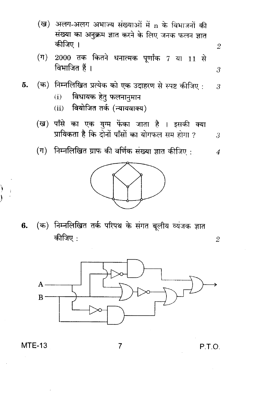- (ख) अलग-अलग अभाज्य संख्याओं में n के विभाजनों की संख्या का अनुक्रम ज्ञात करने के लिए जनक फलन ज्ञात कीजिए ।
- (ग) 2000 तक कितने धनात्मक पूर्णांक 7 या 11 से विभाजित हैं।

5. (क) निम्नलिखित प्रत्येक को एक उदाहरण से स्पष्ट कीजिए : 
$$
3
$$

- विधायक हेतु फलनानुमान  $(i)$
- वियोजित तर्क (न्यायवाक्य)  $(ii)$
- (ख) पाँसे का एक युग्म फेंका जाता है । इसकी क्या प्रायिकता है कि दोनों पाँसों का योगफल सम होगा ? 3
- (ग) निम्नलिखित ग्राफ की वर्णिक संख्या ज्ञात कीजिए :  $\overline{4}$



(क) निम्नलिखित तर्क परिपथ के संगत बूलीय व्यंजक ज्ञात 6. कीजिए :



 $\overline{2}$ 

 $\overline{\mathcal{S}}$ 



#### **MTE-13**

P.T.O.